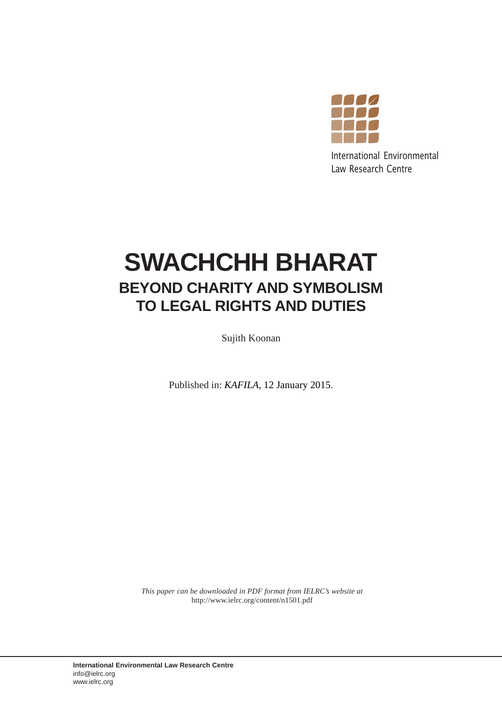

International Environmental Law Research Centre

## **SWACHCHH BHARAT BEYOND CHARITY AND SYMBOLISM TO LEGAL RIGHTS AND DUTIES**

Sujith Koonan

Published in: *KAFILA*, 12 January 2015.

*This paper can be downloaded in PDF format from IELRC's website at* http://www.ielrc.org/content/n1501.pdf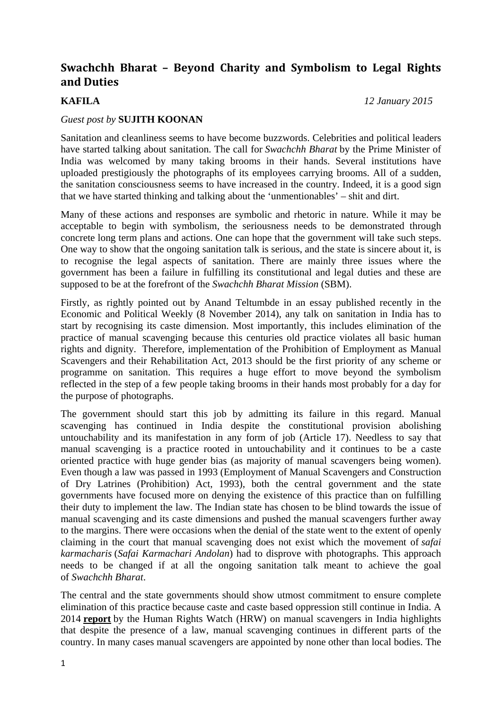## **Swachchh Bharat – Beyond Charity and Symbolism to Legal Rights and Duties**

**KAFILA** *12 January 2015*

## *Guest post by* **SUJITH KOONAN**

Sanitation and cleanliness seems to have become buzzwords. Celebrities and political leaders have started talking about sanitation. The call for *Swachchh Bharat* by the Prime Minister of India was welcomed by many taking brooms in their hands. Several institutions have uploaded prestigiously the photographs of its employees carrying brooms. All of a sudden, the sanitation consciousness seems to have increased in the country. Indeed, it is a good sign that we have started thinking and talking about the 'unmentionables' – shit and dirt.

Many of these actions and responses are symbolic and rhetoric in nature. While it may be acceptable to begin with symbolism, the seriousness needs to be demonstrated through concrete long term plans and actions. One can hope that the government will take such steps. One way to show that the ongoing sanitation talk is serious, and the state is sincere about it, is to recognise the legal aspects of sanitation. There are mainly three issues where the government has been a failure in fulfilling its constitutional and legal duties and these are supposed to be at the forefront of the *Swachchh Bharat Mission* (SBM).

Firstly, as rightly pointed out by Anand Teltumbde in an essay published recently in the Economic and Political Weekly (8 November 2014), any talk on sanitation in India has to start by recognising its caste dimension. Most importantly, this includes elimination of the practice of manual scavenging because this centuries old practice violates all basic human rights and dignity. Therefore, implementation of the Prohibition of Employment as Manual Scavengers and their Rehabilitation Act, 2013 should be the first priority of any scheme or programme on sanitation. This requires a huge effort to move beyond the symbolism reflected in the step of a few people taking brooms in their hands most probably for a day for the purpose of photographs.

The government should start this job by admitting its failure in this regard. Manual scavenging has continued in India despite the constitutional provision abolishing untouchability and its manifestation in any form of job (Article 17). Needless to say that manual scavenging is a practice rooted in untouchability and it continues to be a caste oriented practice with huge gender bias (as majority of manual scavengers being women). Even though a law was passed in 1993 (Employment of Manual Scavengers and Construction of Dry Latrines (Prohibition) Act, 1993), both the central government and the state governments have focused more on denying the existence of this practice than on fulfilling their duty to implement the law. The Indian state has chosen to be blind towards the issue of manual scavenging and its caste dimensions and pushed the manual scavengers further away to the margins. There were occasions when the denial of the state went to the extent of openly claiming in the court that manual scavenging does not exist which the movement of *safai karmacharis* (*Safai Karmachari Andolan*) had to disprove with photographs. This approach needs to be changed if at all the ongoing sanitation talk meant to achieve the goal of *Swachchh Bharat*.

The central and the state governments should show utmost commitment to ensure complete elimination of this practice because caste and caste based oppression still continue in India. A 2014 **report** by the Human Rights Watch (HRW) on manual scavengers in India highlights that despite the presence of a law, manual scavenging continues in different parts of the country. In many cases manual scavengers are appointed by none other than local bodies. The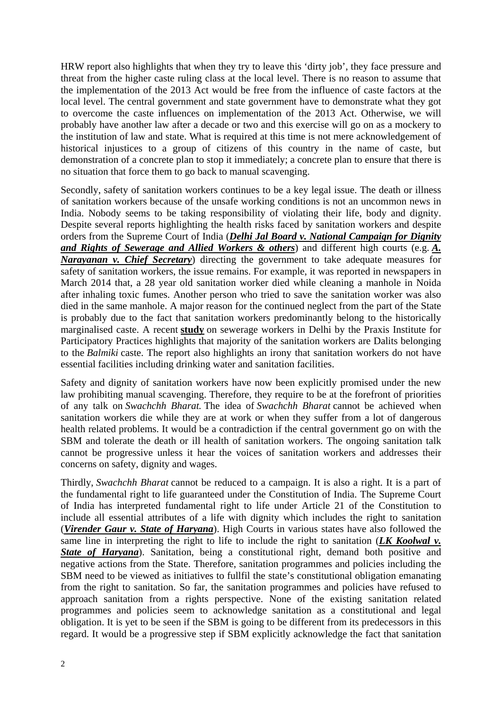HRW report also highlights that when they try to leave this 'dirty job', they face pressure and threat from the higher caste ruling class at the local level. There is no reason to assume that the implementation of the 2013 Act would be free from the influence of caste factors at the local level. The central government and state government have to demonstrate what they got to overcome the caste influences on implementation of the 2013 Act. Otherwise, we will probably have another law after a decade or two and this exercise will go on as a mockery to the institution of law and state. What is required at this time is not mere acknowledgement of historical injustices to a group of citizens of this country in the name of caste, but demonstration of a concrete plan to stop it immediately; a concrete plan to ensure that there is no situation that force them to go back to manual scavenging.

Secondly, safety of sanitation workers continues to be a key legal issue. The death or illness of sanitation workers because of the unsafe working conditions is not an uncommon news in India. Nobody seems to be taking responsibility of violating their life, body and dignity. Despite several reports highlighting the health risks faced by sanitation workers and despite orders from the Supreme Court of India (*Delhi Jal Board v. National Campaign for Dignity and Rights of Sewerage and Allied Workers & others*) and different high courts (e.g. *A. Narayanan v. Chief Secretary*) directing the government to take adequate measures for safety of sanitation workers, the issue remains. For example, it was reported in newspapers in March 2014 that, a 28 year old sanitation worker died while cleaning a manhole in Noida after inhaling toxic fumes. Another person who tried to save the sanitation worker was also died in the same manhole. A major reason for the continued neglect from the part of the State is probably due to the fact that sanitation workers predominantly belong to the historically marginalised caste. A recent **study** on sewerage workers in Delhi by the Praxis Institute for Participatory Practices highlights that majority of the sanitation workers are Dalits belonging to the *Balmiki* caste. The report also highlights an irony that sanitation workers do not have essential facilities including drinking water and sanitation facilities.

Safety and dignity of sanitation workers have now been explicitly promised under the new law prohibiting manual scavenging. Therefore, they require to be at the forefront of priorities of any talk on *Swachchh Bharat.* The idea of *Swachchh Bharat* cannot be achieved when sanitation workers die while they are at work or when they suffer from a lot of dangerous health related problems. It would be a contradiction if the central government go on with the SBM and tolerate the death or ill health of sanitation workers. The ongoing sanitation talk cannot be progressive unless it hear the voices of sanitation workers and addresses their concerns on safety, dignity and wages.

Thirdly, *Swachchh Bharat* cannot be reduced to a campaign. It is also a right. It is a part of the fundamental right to life guaranteed under the Constitution of India. The Supreme Court of India has interpreted fundamental right to life under Article 21 of the Constitution to include all essential attributes of a life with dignity which includes the right to sanitation (*Virender Gaur v. State of Haryana*). High Courts in various states have also followed the same line in interpreting the right to life to include the right to sanitation (*LK Koolwal v.*  **State of Haryana**). Sanitation, being a constitutional right, demand both positive and negative actions from the State. Therefore, sanitation programmes and policies including the SBM need to be viewed as initiatives to fullfil the state's constitutional obligation emanating from the right to sanitation. So far, the sanitation programmes and policies have refused to approach sanitation from a rights perspective. None of the existing sanitation related programmes and policies seem to acknowledge sanitation as a constitutional and legal obligation. It is yet to be seen if the SBM is going to be different from its predecessors in this regard. It would be a progressive step if SBM explicitly acknowledge the fact that sanitation